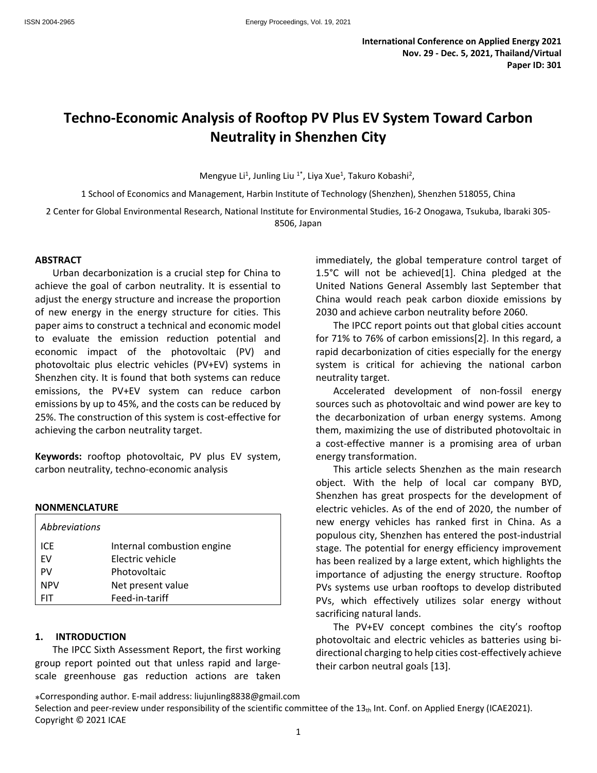# **Techno-Economic Analysis of Rooftop PV Plus EV System Toward Carbon Neutrality in Shenzhen City**

Mengyue Li<sup>1</sup>, Junling Liu<sup>1\*</sup>, Liya Xue<sup>1</sup>, Takuro Kobashi<sup>2</sup>,

1 School of Economics and Management, Harbin Institute of Technology (Shenzhen), Shenzhen 518055, China

2 Center for Global Environmental Research, National Institute for Environmental Studies, 16-2 Onogawa, Tsukuba, Ibaraki 305- 8506, Japan

#### **ABSTRACT**

Urban decarbonization is a crucial step for China to achieve the goal of carbon neutrality. It is essential to adjust the energy structure and increase the proportion of new energy in the energy structure for cities. This paper aims to construct a technical and economic model to evaluate the emission reduction potential and economic impact of the photovoltaic (PV) and photovoltaic plus electric vehicles (PV+EV) systems in Shenzhen city. It is found that both systems can reduce emissions, the PV+EV system can reduce carbon emissions by up to 45%, and the costs can be reduced by 25%. The construction of this system is cost-effective for achieving the carbon neutrality target.

**Keywords:** rooftop photovoltaic, PV plus EV system, carbon neutrality, techno-economic analysis

#### **NONMENCLATURE**

| <i>Abbreviations</i> |                            |
|----------------------|----------------------------|
| ICE                  | Internal combustion engine |
| FV                   | Electric vehicle           |
| PV                   | Photovoltaic               |
| <b>NPV</b>           | Net present value          |
| FIT                  | Feed-in-tariff             |

#### **1. INTRODUCTION**

The IPCC Sixth Assessment Report, the first working group report pointed out that unless rapid and largescale greenhouse gas reduction actions are taken immediately, the global temperature control target of 1.5°C will not be achieved[1]. China pledged at the United Nations General Assembly last September that China would reach peak carbon dioxide emissions by 2030 and achieve carbon neutrality before 2060.

The IPCC report points out that global cities account for 71% to 76% of carbon emissions[2]. In this regard, a rapid decarbonization of cities especially for the energy system is critical for achieving the national carbon neutrality target.

Accelerated development of non-fossil energy sources such as photovoltaic and wind power are key to the decarbonization of urban energy systems. Among them, maximizing the use of distributed photovoltaic in a cost-effective manner is a promising area of urban energy transformation.

This article selects Shenzhen as the main research object. With the help of local car company BYD, Shenzhen has great prospects for the development of electric vehicles. As of the end of 2020, the number of new energy vehicles has ranked first in China. As a populous city, Shenzhen has entered the post-industrial stage. The potential for energy efficiency improvement has been realized by a large extent, which highlights the importance of adjusting the energy structure. Rooftop PVs systems use urban rooftops to develop distributed PVs, which effectively utilizes solar energy without sacrificing natural lands.

The PV+EV concept combines the city's rooftop photovoltaic and electric vehicles as batteries using bidirectional charging to help cities cost-effectively achieve their carbon neutral goals [13].

⁎Corresponding author. E-mail address: liujunling8838@gmail.com

Selection and peer-review under responsibility of the scientific committee of the  $13<sub>th</sub>$  Int. Conf. on Applied Energy (ICAE2021). Copyright © 2021 ICAE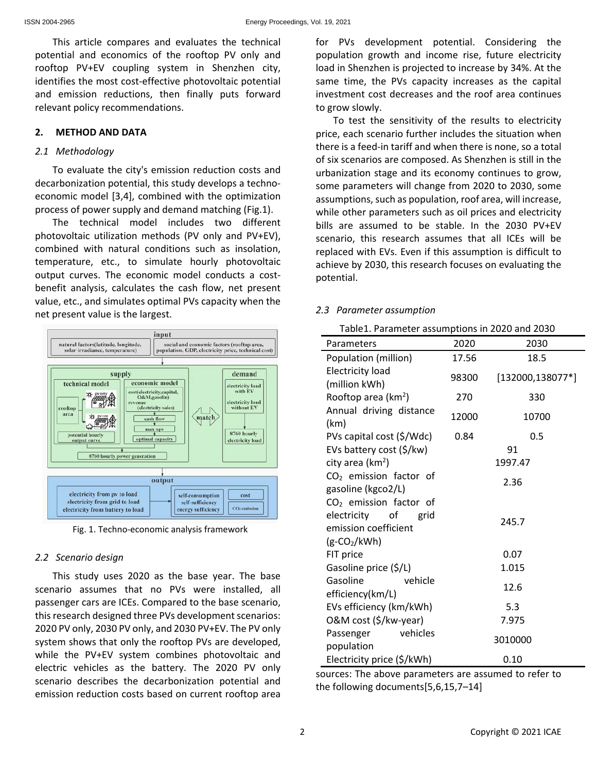This article compares and evaluates the technical potential and economics of the rooftop PV only and rooftop PV+EV coupling system in Shenzhen city, identifies the most cost-effective photovoltaic potential and emission reductions, then finally puts forward relevant policy recommendations.

## **2. METHOD AND DATA**

#### *2.1 Methodology*

To evaluate the city's emission reduction costs and decarbonization potential, this study develops a technoeconomic model [3,4], combined with the optimization process of power supply and demand matching (Fig.1).

The technical model includes two different photovoltaic utilization methods (PV only and PV+EV), combined with natural conditions such as insolation, temperature, etc., to simulate hourly photovoltaic output curves. The economic model conducts a costbenefit analysis, calculates the cash flow, net present value, etc., and simulates optimal PVs capacity when the net present value is the largest.



Fig. 1. Techno-economic analysis framework

#### *2.2 Scenario design*

This study uses 2020 as the base year. The base scenario assumes that no PVs were installed, all passenger cars are ICEs. Compared to the base scenario, this research designed three PVs development scenarios: 2020 PV only, 2030 PV only, and 2030 PV+EV. The PV only system shows that only the rooftop PVs are developed, while the PV+EV system combines photovoltaic and electric vehicles as the battery. The 2020 PV only scenario describes the decarbonization potential and emission reduction costs based on current rooftop area

for PVs development potential. Considering the population growth and income rise, future electricity load in Shenzhen is projected to increase by 34%. At the same time, the PVs capacity increases as the capital investment cost decreases and the roof area continues to grow slowly.

To test the sensitivity of the results to electricity price, each scenario further includes the situation when there is a feed-in tariff and when there is none, so a total of six scenarios are composed. As Shenzhen is still in the urbanization stage and its economy continues to grow, some parameters will change from 2020 to 2030, some assumptions, such as population, roof area, will increase, while other parameters such as oil prices and electricity bills are assumed to be stable. In the 2030 PV+EV scenario, this research assumes that all ICEs will be replaced with EVs. Even if this assumption is difficult to achieve by 2030, this research focuses on evaluating the potential.

### *2.3 Parameter assumption*

| Table1. Parameter assumptions in 2020 and 2030 |  |
|------------------------------------------------|--|
|------------------------------------------------|--|

| Parameters                  | 2020    | 2030                |  |
|-----------------------------|---------|---------------------|--|
| Population (million)        | 17.56   | 18.5                |  |
| <b>Electricity load</b>     | 98300   | $[132000, 138077*]$ |  |
| (million kWh)               |         |                     |  |
| Rooftop area ( $km^2$ )     | 270     | 330                 |  |
| Annual driving distance     | 12000   | 10700               |  |
| (km)                        |         |                     |  |
| PVs capital cost (\$/Wdc)   | 0.84    | 0.5                 |  |
| EVs battery cost (\$/kw)    |         | 91                  |  |
| city area ( $km2$ )         |         | 1997.47             |  |
| $CO2$ emission factor of    | 2.36    |                     |  |
| gasoline (kgco2/L)          |         |                     |  |
| $CO2$ emission factor of    |         |                     |  |
| electricity<br>of<br>grid   | 245.7   |                     |  |
| emission coefficient        |         |                     |  |
| $(g$ -CO <sub>2</sub> /kWh) |         |                     |  |
| FIT price                   | 0.07    |                     |  |
| Gasoline price (\$/L)       | 1.015   |                     |  |
| Gasoline<br>vehicle         | 12.6    |                     |  |
| efficiency(km/L)            |         |                     |  |
| EVs efficiency (km/kWh)     | 5.3     |                     |  |
| O&M cost (\$/kw-year)       | 7.975   |                     |  |
| Passenger<br>vehicles       | 3010000 |                     |  |
| population                  |         |                     |  |
| Electricity price (\$/kWh)  | 0.10    |                     |  |

sources: The above parameters are assumed to refer to the following documents[5,6,15,7–14]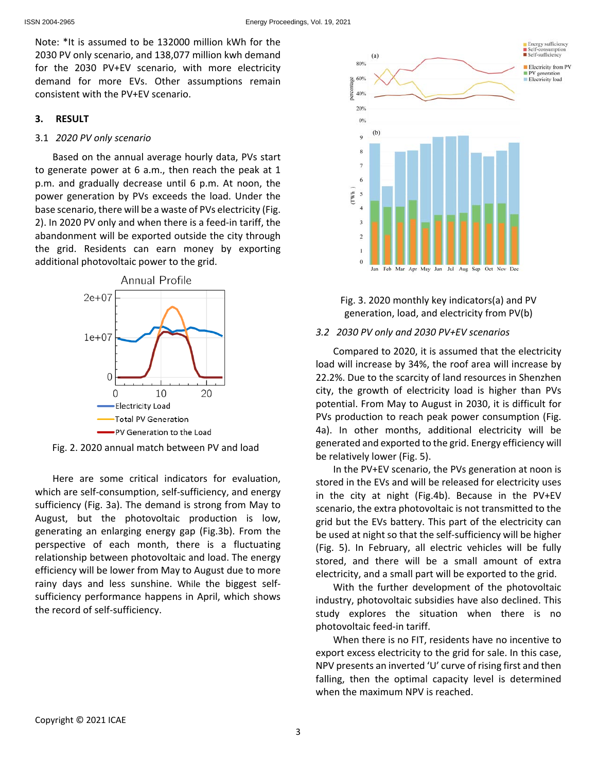Note: \*It is assumed to be 132000 million kWh for the 2030 PV only scenario, and 138,077 million kwh demand for the 2030 PV+EV scenario, with more electricity demand for more EVs. Other assumptions remain consistent with the PV+EV scenario.

### **3. RESULT**

#### 3.1 *2020 PV only scenario*

Based on the annual average hourly data, PVs start to generate power at 6 a.m., then reach the peak at 1 p.m. and gradually decrease until 6 p.m. At noon, the power generation by PVs exceeds the load. Under the base scenario, there will be a waste of PVs electricity (Fig. 2). In 2020 PV only and when there is a feed-in tariff, the abandonment will be exported outside the city through the grid. Residents can earn money by exporting additional photovoltaic power to the grid.



Fig. 2. 2020 annual match between PV and load

Here are some critical indicators for evaluation, which are self-consumption, self-sufficiency, and energy sufficiency (Fig. 3a). The demand is strong from May to August, but the photovoltaic production is low, generating an enlarging energy gap (Fig.3b). From the perspective of each month, there is a fluctuating relationship between photovoltaic and load. The energy efficiency will be lower from May to August due to more rainy days and less sunshine. While the biggest selfsufficiency performance happens in April, which shows the record of self-sufficiency.



Fig. 3. 2020 monthly key indicators(a) and PV generation, load, and electricity from PV(b)

### *3.2 2030 PV only and 2030 PV+EV scenarios*

Compared to 2020, it is assumed that the electricity load will increase by 34%, the roof area will increase by 22.2%. Due to the scarcity of land resources in Shenzhen city, the growth of electricity load is higher than PVs potential. From May to August in 2030, it is difficult for PVs production to reach peak power consumption (Fig. 4a). In other months, additional electricity will be generated and exported to the grid. Energy efficiency will be relatively lower (Fig. 5).

In the PV+EV scenario, the PVs generation at noon is stored in the EVs and will be released for electricity uses in the city at night (Fig.4b). Because in the PV+EV scenario, the extra photovoltaic is not transmitted to the grid but the EVs battery. This part of the electricity can be used at night so that the self-sufficiency will be higher (Fig. 5). In February, all electric vehicles will be fully stored, and there will be a small amount of extra electricity, and a small part will be exported to the grid.

With the further development of the photovoltaic industry, photovoltaic subsidies have also declined. This study explores the situation when there is no photovoltaic feed-in tariff.

When there is no FIT, residents have no incentive to export excess electricity to the grid for sale. In this case, NPV presents an inverted 'U' curve of rising first and then falling, then the optimal capacity level is determined when the maximum NPV is reached.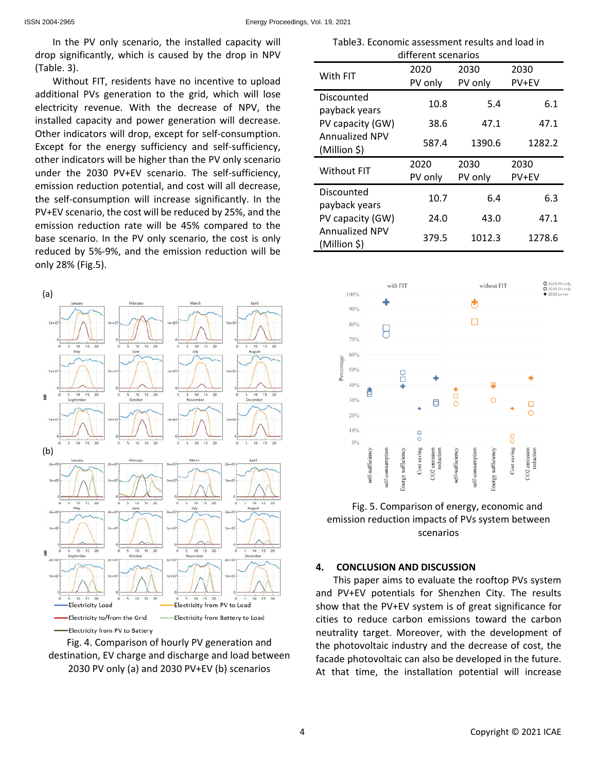In the PV only scenario, the installed capacity will drop significantly, which is caused by the drop in NPV (Table. 3).

Without FIT, residents have no incentive to upload additional PVs generation to the grid, which will lose electricity revenue. With the decrease of NPV, the installed capacity and power generation will decrease. Other indicators will drop, except for self-consumption. Except for the energy sufficiency and self-sufficiency, other indicators will be higher than the PV only scenario under the 2030 PV+EV scenario. The self-sufficiency, emission reduction potential, and cost will all decrease, the self-consumption will increase significantly. In the PV+EV scenario, the cost will be reduced by 25%, and the emission reduction rate will be 45% compared to the base scenario. In the PV only scenario, the cost is only reduced by 5%-9%, and the emission reduction will be only 28% (Fig.5).





| Table3. Economic assessment results and load in |         |         |        |  |  |  |  |
|-------------------------------------------------|---------|---------|--------|--|--|--|--|
| different scenarios                             |         |         |        |  |  |  |  |
| With FIT                                        | 2020    | 2030    | 2030   |  |  |  |  |
|                                                 | PV only | PV only | PV+EV  |  |  |  |  |
| Discounted<br>payback years                     | 10.8    | 5.4     | 6.1    |  |  |  |  |
| PV capacity (GW)                                | 38.6    | 47.1    | 47.1   |  |  |  |  |
| <b>Annualized NPV</b><br>(Million \$)           | 587.4   | 1390.6  | 1282.2 |  |  |  |  |
|                                                 | 2020    | 2030    | 2030   |  |  |  |  |
| <b>Without FIT</b>                              | PV only | PV only | PV+EV  |  |  |  |  |
| Discounted<br>payback years                     | 10.7    | 6.4     | 6.3    |  |  |  |  |
| PV capacity (GW)                                | 24.0    | 43.0    | 47.1   |  |  |  |  |
| <b>Annualized NPV</b><br>(Million \$)           | 379.5   | 1012.3  | 1278.6 |  |  |  |  |





#### **4. CONCLUSION AND DISCUSSION**

This paper aims to evaluate the rooftop PVs system and PV+EV potentials for Shenzhen City. The results show that the PV+EV system is of great significance for cities to reduce carbon emissions toward the carbon neutrality target. Moreover, with the development of the photovoltaic industry and the decrease of cost, the facade photovoltaic can also be developed in the future. At that time, the installation potential will increase